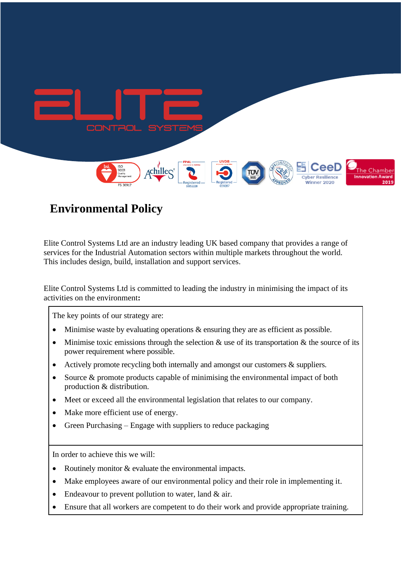

## **Environmental Policy**

Elite Control Systems Ltd are an industry leading UK based company that provides a range of services for the Industrial Automation sectors within multiple markets throughout the world. This includes design, build, installation and support services.

Elite Control Systems Ltd is committed to leading the industry in minimising the impact of its activities on the environment**:**

The key points of our strategy are:

- Minimise waste by evaluating operations  $\&$  ensuring they are as efficient as possible.
- Minimise toxic emissions through the selection  $\&$  use of its transportation  $\&$  the source of its power requirement where possible.
- Actively promote recycling both internally and amongst our customers & suppliers.
- Source  $\&$  promote products capable of minimising the environmental impact of both production & distribution.
- Meet or exceed all the environmental legislation that relates to our company.
- Make more efficient use of energy.
- Green Purchasing Engage with suppliers to reduce packaging

In order to achieve this we will:

- Routinely monitor & evaluate the environmental impacts.
- Make employees aware of our environmental policy and their role in implementing it.
- Endeavour to prevent pollution to water, land & air.
- Ensure that all workers are competent to do their work and provide appropriate training.